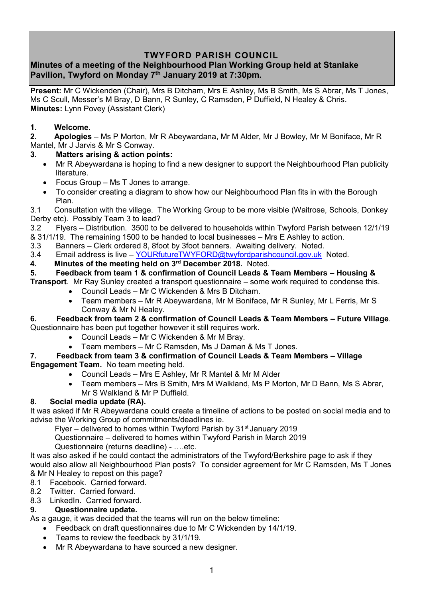# **TWYFORD PARISH COUNCIL**

# **Minutes of a meeting of the Neighbourhood Plan Working Group held at Stanlake Pavilion, Twyford on Monday 7th January 2019 at 7:30pm.**

**Present:** Mr C Wickenden (Chair), Mrs B Ditcham, Mrs E Ashley, Ms B Smith, Ms S Abrar, Ms T Jones, Ms C Scull, Messer's M Bray, D Bann, R Sunley, C Ramsden, P Duffield, N Healey & Chris. **Minutes:** Lynn Povey (Assistant Clerk)

## **1. Welcome.**

**2. Apologies** – Ms P Morton, Mr R Abeywardana, Mr M Alder, Mr J Bowley, Mr M Boniface, Mr R Mantel, Mr J Jarvis & Mr S Conway.

## **3. Matters arising & action points:**

- Mr R Abeywardana is hoping to find a new designer to support the Neighbourhood Plan publicity literature.
- Focus Group Ms T Jones to arrange.
- To consider creating a diagram to show how our Neighbourhood Plan fits in with the Borough Plan.

3.1 Consultation with the village. The Working Group to be more visible (Waitrose, Schools, Donkey Derby etc). Possibly Team 3 to lead?

3.2 Flyers – Distribution. 3500 to be delivered to households within Twyford Parish between 12/1/19

& 31/1/19. The remaining 1500 to be handed to local businesses – Mrs E Ashley to action.

3.3 Banners – Clerk ordered 8, 8foot by 3foot banners. Awaiting delivery. Noted.

3.4 Email address is live – [YOURfutureTWYFORD@twyfordparishcouncil.gov.uk](mailto:YOURfutureTWYFORD@twyfordparishcouncil.gov.uk) Noted.

**4. Minutes of the meeting held on 3 rd December 2018.** Noted.

## **5. Feedback from team 1 & confirmation of Council Leads & Team Members – Housing &**

**Transport**. Mr Ray Sunley created a transport questionnaire – some work required to condense this.

- Council Leads Mr C Wickenden & Mrs B Ditcham.
- Team members Mr R Abeywardana, Mr M Boniface, Mr R Sunley, Mr L Ferris, Mr S Conway & Mr N Healey.

### **6. Feedback from team 2 & confirmation of Council Leads & Team Members – Future Village**. Questionnaire has been put together however it still requires work.

- Council Leads Mr C Wickenden & Mr M Bray.
- Team members Mr C Ramsden, Ms J Daman & Ms T Jones.

#### **7. Feedback from team 3 & confirmation of Council Leads & Team Members – Village Engagement Team.** No team meeting held.

- Council Leads Mrs E Ashley, Mr R Mantel & Mr M Alder
- Team members Mrs B Smith, Mrs M Walkland, Ms P Morton, Mr D Bann, Ms S Abrar, Mr S Walkland & Mr P Duffield.

## **8. Social media update (RA).**

It was asked if Mr R Abeywardana could create a timeline of actions to be posted on social media and to advise the Working Group of commitments/deadlines ie.

Flyer – delivered to homes within Twyford Parish by  $31<sup>st</sup>$  January 2019

Questionnaire – delivered to homes within Twyford Parish in March 2019

Questionnaire (returns deadline) - ….etc.

It was also asked if he could contact the administrators of the Twyford/Berkshire page to ask if they would also allow all Neighbourhood Plan posts? To consider agreement for Mr C Ramsden, Ms T Jones & Mr N Healey to repost on this page?

8.1 Facebook. Carried forward.

8.2 Twitter. Carried forward.

8.3 LinkedIn. Carried forward.

## **9. Questionnaire update.**

As a gauge, it was decided that the teams will run on the below timeline:

- Feedback on draft questionnaires due to Mr C Wickenden by 14/1/19.
- Teams to review the feedback by 31/1/19.
- Mr R Abeywardana to have sourced a new designer.